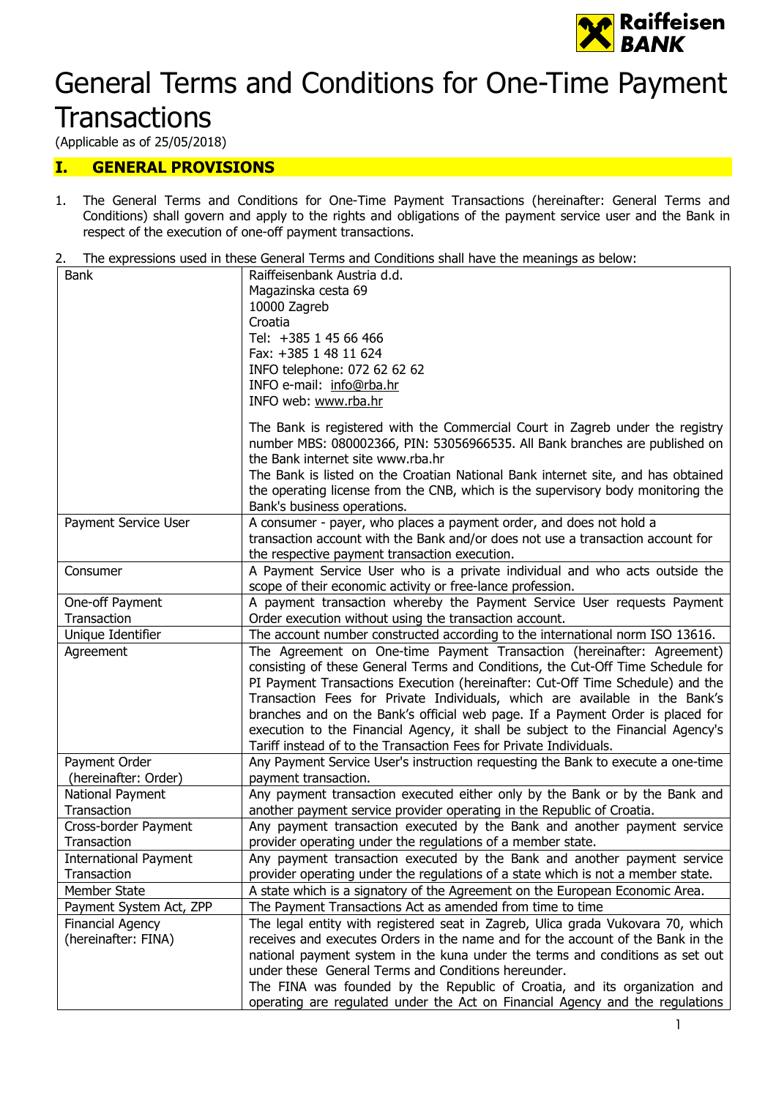

# General Terms and Conditions for One-Time Payment

# **Transactions**

(Applicable as of 25/05/2018)

## I. GENERAL PROVISIONS

- 1. The General Terms and Conditions for One-Time Payment Transactions (hereinafter: General Terms and Conditions) shall govern and apply to the rights and obligations of the payment service user and the Bank in respect of the execution of one-off payment transactions.
- 2. The expressions used in these General Terms and Conditions shall have the meanings as below:

| <b>Bank</b>                  | Raiffeisenbank Austria d.d.                                                      |
|------------------------------|----------------------------------------------------------------------------------|
|                              | Magazinska cesta 69                                                              |
|                              | 10000 Zagreb                                                                     |
|                              | Croatia                                                                          |
|                              | Tel: +385 1 45 66 466                                                            |
|                              | Fax: +385 1 48 11 624                                                            |
|                              | INFO telephone: 072 62 62 62                                                     |
|                              | INFO e-mail: info@rba.hr                                                         |
|                              | INFO web: www.rba.hr                                                             |
|                              |                                                                                  |
|                              | The Bank is registered with the Commercial Court in Zagreb under the registry    |
|                              | number MBS: 080002366, PIN: 53056966535. All Bank branches are published on      |
|                              | the Bank internet site www.rba.hr                                                |
|                              | The Bank is listed on the Croatian National Bank internet site, and has obtained |
|                              | the operating license from the CNB, which is the supervisory body monitoring the |
|                              | Bank's business operations.                                                      |
| Payment Service User         | A consumer - payer, who places a payment order, and does not hold a              |
|                              | transaction account with the Bank and/or does not use a transaction account for  |
|                              | the respective payment transaction execution.                                    |
| Consumer                     | A Payment Service User who is a private individual and who acts outside the      |
|                              | scope of their economic activity or free-lance profession.                       |
| One-off Payment              | A payment transaction whereby the Payment Service User requests Payment          |
| Transaction                  | Order execution without using the transaction account.                           |
| Unique Identifier            | The account number constructed according to the international norm ISO 13616.    |
| Agreement                    | The Agreement on One-time Payment Transaction (hereinafter: Agreement)           |
|                              | consisting of these General Terms and Conditions, the Cut-Off Time Schedule for  |
|                              | PI Payment Transactions Execution (hereinafter: Cut-Off Time Schedule) and the   |
|                              | Transaction Fees for Private Individuals, which are available in the Bank's      |
|                              | branches and on the Bank's official web page. If a Payment Order is placed for   |
|                              | execution to the Financial Agency, it shall be subject to the Financial Agency's |
|                              | Tariff instead of to the Transaction Fees for Private Individuals.               |
| Payment Order                | Any Payment Service User's instruction requesting the Bank to execute a one-time |
| (hereinafter: Order)         | payment transaction.                                                             |
| National Payment             | Any payment transaction executed either only by the Bank or by the Bank and      |
| Transaction                  | another payment service provider operating in the Republic of Croatia.           |
| Cross-border Payment         | Any payment transaction executed by the Bank and another payment service         |
| Transaction                  | provider operating under the regulations of a member state.                      |
| <b>International Payment</b> | Any payment transaction executed by the Bank and another payment service         |
| Transaction                  | provider operating under the regulations of a state which is not a member state. |
| Member State                 | A state which is a signatory of the Agreement on the European Economic Area.     |
| Payment System Act, ZPP      | The Payment Transactions Act as amended from time to time                        |
| <b>Financial Agency</b>      | The legal entity with registered seat in Zagreb, Ulica grada Vukovara 70, which  |
| (hereinafter: FINA)          | receives and executes Orders in the name and for the account of the Bank in the  |
|                              | national payment system in the kuna under the terms and conditions as set out    |
|                              | under these General Terms and Conditions hereunder.                              |
|                              | The FINA was founded by the Republic of Croatia, and its organization and        |
|                              | operating are regulated under the Act on Financial Agency and the regulations    |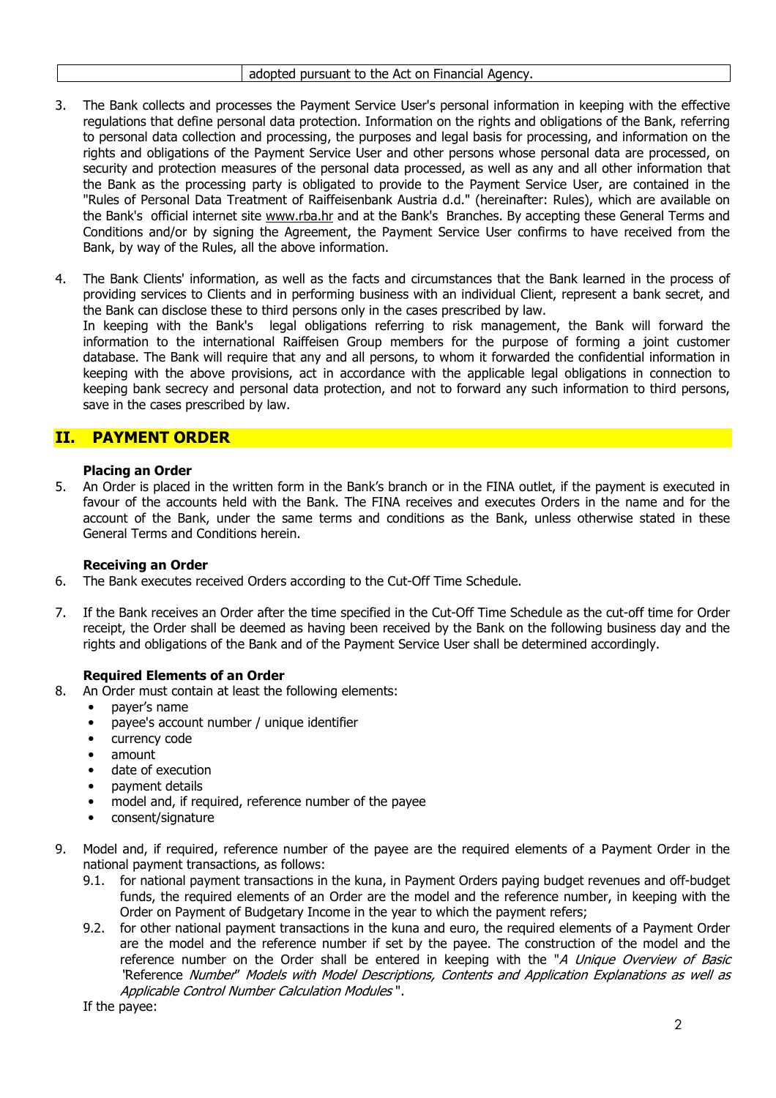- 3. The Bank collects and processes the Payment Service User's personal information in keeping with the effective regulations that define personal data protection. Information on the rights and obligations of the Bank, referring to personal data collection and processing, the purposes and legal basis for processing, and information on the rights and obligations of the Payment Service User and other persons whose personal data are processed, on security and protection measures of the personal data processed, as well as any and all other information that the Bank as the processing party is obligated to provide to the Payment Service User, are contained in the "Rules of Personal Data Treatment of Raiffeisenbank Austria d.d." (hereinafter: Rules), which are available on the Bank's official internet site www.rba.hr and at the Bank's Branches. By accepting these General Terms and Conditions and/or by signing the Agreement, the Payment Service User confirms to have received from the Bank, by way of the Rules, all the above information.
- 4. The Bank Clients' information, as well as the facts and circumstances that the Bank learned in the process of providing services to Clients and in performing business with an individual Client, represent a bank secret, and the Bank can disclose these to third persons only in the cases prescribed by law. In keeping with the Bank's legal obligations referring to risk management, the Bank will forward the information to the international Raiffeisen Group members for the purpose of forming a joint customer database. The Bank will require that any and all persons, to whom it forwarded the confidential information in keeping with the above provisions, act in accordance with the applicable legal obligations in connection to keeping bank secrecy and personal data protection, and not to forward any such information to third persons, save in the cases prescribed by law.

# II. PAYMENT ORDER

#### Placing an Order

5. An Order is placed in the written form in the Bank's branch or in the FINA outlet, if the payment is executed in favour of the accounts held with the Bank. The FINA receives and executes Orders in the name and for the account of the Bank, under the same terms and conditions as the Bank, unless otherwise stated in these General Terms and Conditions herein.

#### Receiving an Order

- 6. The Bank executes received Orders according to the Cut-Off Time Schedule.
- 7. If the Bank receives an Order after the time specified in the Cut-Off Time Schedule as the cut-off time for Order receipt, the Order shall be deemed as having been received by the Bank on the following business day and the rights and obligations of the Bank and of the Payment Service User shall be determined accordingly.

#### Required Elements of an Order

- 8. An Order must contain at least the following elements:
	- payer's name
	- payee's account number / unique identifier
	- currency code
	- amount
	- date of execution
	- payment details
	- model and, if required, reference number of the payee
	- consent/signature
- 9. Model and, if required, reference number of the payee are the required elements of a Payment Order in the national payment transactions, as follows:
	- 9.1. for national payment transactions in the kuna, in Payment Orders paying budget revenues and off-budget funds, the required elements of an Order are the model and the reference number, in keeping with the Order on Payment of Budgetary Income in the year to which the payment refers;
	- 9.2. for other national payment transactions in the kuna and euro, the required elements of a Payment Order are the model and the reference number if set by the payee. The construction of the model and the reference number on the Order shall be entered in keeping with the "A Unique Overview of Basic "Reference Number" Models with Model Descriptions, Contents and Application Explanations as well as Applicable Control Number Calculation Modules ".

If the payee: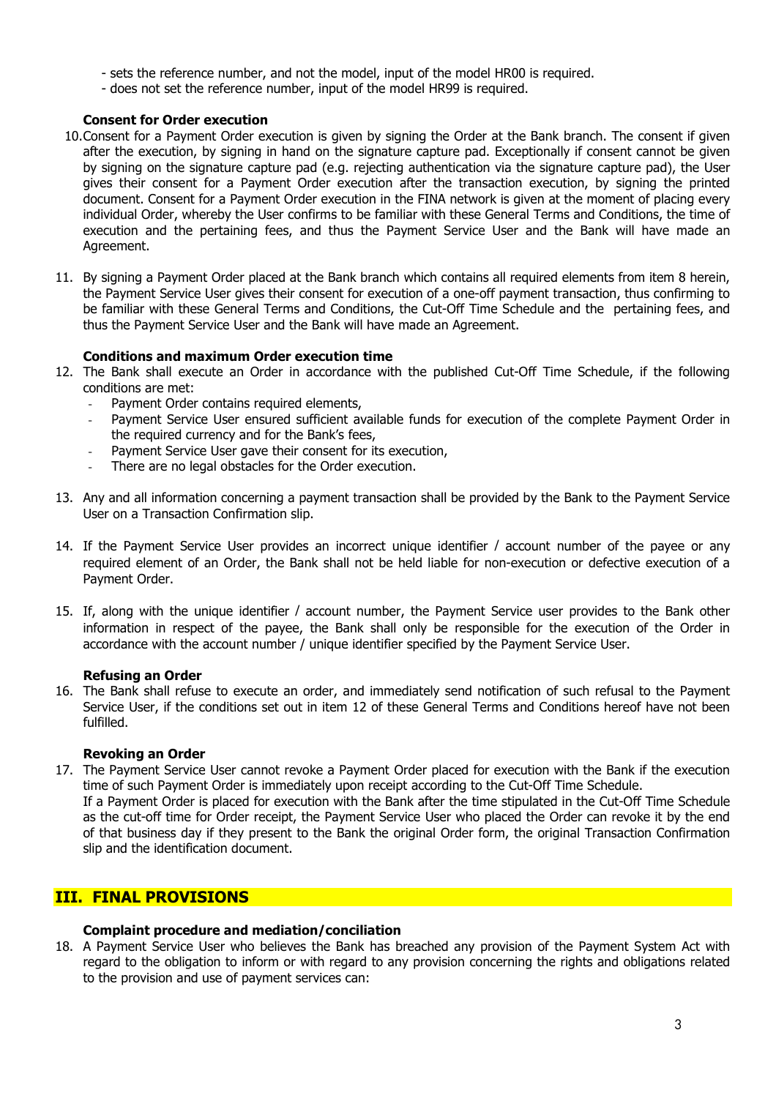- sets the reference number, and not the model, input of the model HR00 is required.
- does not set the reference number, input of the model HR99 is required.

#### Consent for Order execution

- 10.Consent for a Payment Order execution is given by signing the Order at the Bank branch. The consent if given after the execution, by signing in hand on the signature capture pad. Exceptionally if consent cannot be given by signing on the signature capture pad (e.g. rejecting authentication via the signature capture pad), the User gives their consent for a Payment Order execution after the transaction execution, by signing the printed document. Consent for a Payment Order execution in the FINA network is given at the moment of placing every individual Order, whereby the User confirms to be familiar with these General Terms and Conditions, the time of execution and the pertaining fees, and thus the Payment Service User and the Bank will have made an Agreement.
- 11. By signing a Payment Order placed at the Bank branch which contains all required elements from item 8 herein, the Payment Service User gives their consent for execution of a one-off payment transaction, thus confirming to be familiar with these General Terms and Conditions, the Cut-Off Time Schedule and the pertaining fees, and thus the Payment Service User and the Bank will have made an Agreement.

#### Conditions and maximum Order execution time

- 12. The Bank shall execute an Order in accordance with the published Cut-Off Time Schedule, if the following conditions are met:
	- Payment Order contains required elements,
	- Payment Service User ensured sufficient available funds for execution of the complete Payment Order in the required currency and for the Bank's fees,
	- Payment Service User gave their consent for its execution,
	- There are no legal obstacles for the Order execution.
- 13. Any and all information concerning a payment transaction shall be provided by the Bank to the Payment Service User on a Transaction Confirmation slip.
- 14. If the Payment Service User provides an incorrect unique identifier / account number of the payee or any required element of an Order, the Bank shall not be held liable for non-execution or defective execution of a Payment Order.
- 15. If, along with the unique identifier / account number, the Payment Service user provides to the Bank other information in respect of the payee, the Bank shall only be responsible for the execution of the Order in accordance with the account number / unique identifier specified by the Payment Service User.

#### Refusing an Order

16. The Bank shall refuse to execute an order, and immediately send notification of such refusal to the Payment Service User, if the conditions set out in item 12 of these General Terms and Conditions hereof have not been fulfilled.

#### Revoking an Order

17. The Payment Service User cannot revoke a Payment Order placed for execution with the Bank if the execution time of such Payment Order is immediately upon receipt according to the Cut-Off Time Schedule. If a Payment Order is placed for execution with the Bank after the time stipulated in the Cut-Off Time Schedule as the cut-off time for Order receipt, the Payment Service User who placed the Order can revoke it by the end of that business day if they present to the Bank the original Order form, the original Transaction Confirmation slip and the identification document.

### III. FINAL PROVISIONS

#### Complaint procedure and mediation/conciliation

18. A Payment Service User who believes the Bank has breached any provision of the Payment System Act with regard to the obligation to inform or with regard to any provision concerning the rights and obligations related to the provision and use of payment services can: